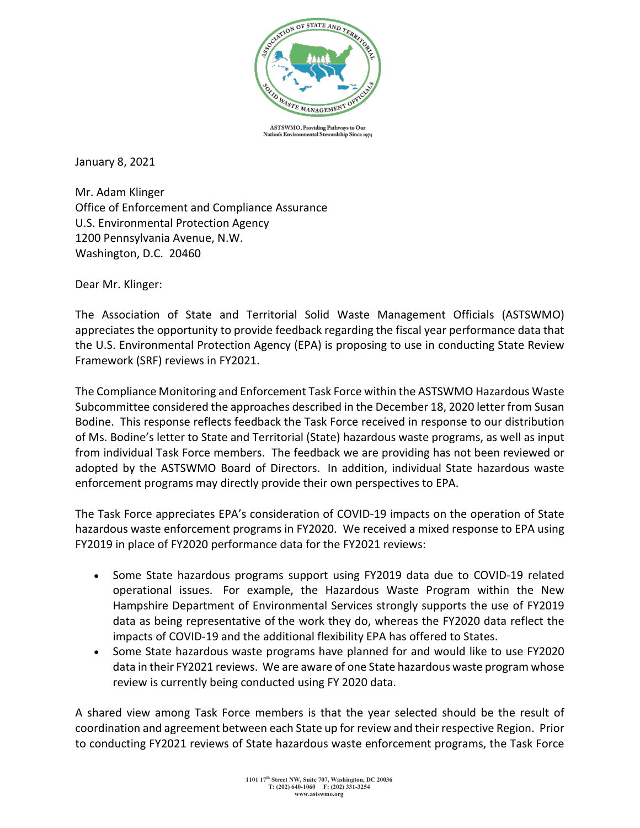

ASTSWMO, Providing Pathways to Our wardship Since 1974 **Nation's Envir** ntal St

January 8, 2021

Mr. Adam Klinger Office of Enforcement and Compliance Assurance U.S. Environmental Protection Agency 1200 Pennsylvania Avenue, N.W. Washington, D.C. 20460

Dear Mr. Klinger:

The Association of State and Territorial Solid Waste Management Officials (ASTSWMO) appreciates the opportunity to provide feedback regarding the fiscal year performance data that the U.S. Environmental Protection Agency (EPA) is proposing to use in conducting State Review Framework (SRF) reviews in FY2021.

The Compliance Monitoring and Enforcement Task Force within the ASTSWMO Hazardous Waste Subcommittee considered the approaches described in the December 18, 2020 letter from Susan Bodine. This response reflects feedback the Task Force received in response to our distribution of Ms. Bodine's letter to State and Territorial (State) hazardous waste programs, as well as input from individual Task Force members. The feedback we are providing has not been reviewed or adopted by the ASTSWMO Board of Directors. In addition, individual State hazardous waste enforcement programs may directly provide their own perspectives to EPA.

The Task Force appreciates EPA's consideration of COVID-19 impacts on the operation of State hazardous waste enforcement programs in FY2020. We received a mixed response to EPA using FY2019 in place of FY2020 performance data for the FY2021 reviews:

- Some State hazardous programs support using FY2019 data due to COVID-19 related operational issues. For example, the Hazardous Waste Program within the New Hampshire Department of Environmental Services strongly supports the use of FY2019 data as being representative of the work they do, whereas the FY2020 data reflect the impacts of COVID-19 and the additional flexibility EPA has offered to States.
- Some State hazardous waste programs have planned for and would like to use FY2020 data in their FY2021 reviews. We are aware of one State hazardous waste program whose review is currently being conducted using FY 2020 data.

A shared view among Task Force members is that the year selected should be the result of coordination and agreement between each State up for review and their respective Region. Prior to conducting FY2021 reviews of State hazardous waste enforcement programs, the Task Force